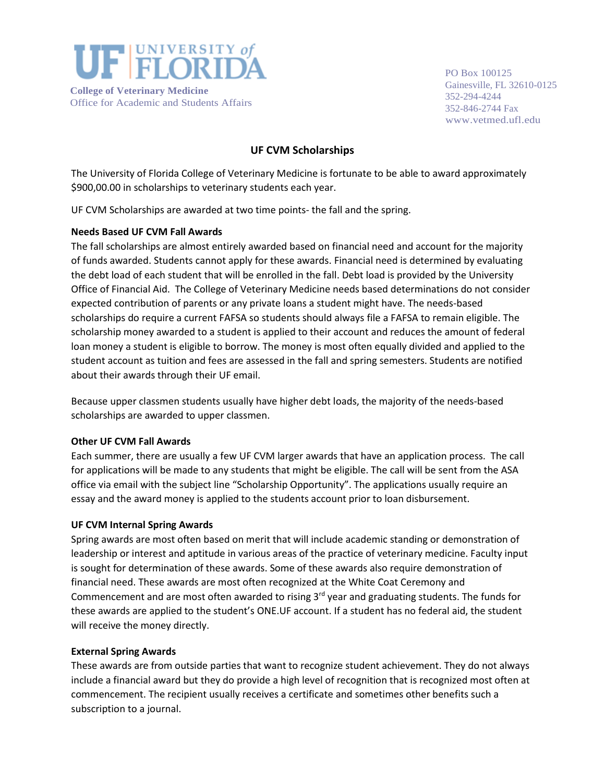

PO Box 100125 Gainesville, FL 32610-0125 352-294-4244 352-846-2744 Fax [www.vetmed.ufl.edu](http://www.vetmed.ufl.edu/)

# **UF CVM Scholarships**

The University of Florida College of Veterinary Medicine is fortunate to be able to award approximately \$900,00.00 in scholarships to veterinary students each year.

UF CVM Scholarships are awarded at two time points- the fall and the spring.

## **Needs Based UF CVM Fall Awards**

The fall scholarships are almost entirely awarded based on financial need and account for the majority of funds awarded. Students cannot apply for these awards. Financial need is determined by evaluating the debt load of each student that will be enrolled in the fall. Debt load is provided by the University Office of Financial Aid. The College of Veterinary Medicine needs based determinations do not consider expected contribution of parents or any private loans a student might have. The needs-based scholarships do require a current FAFSA so students should always file a FAFSA to remain eligible. The scholarship money awarded to a student is applied to their account and reduces the amount of federal loan money a student is eligible to borrow. The money is most often equally divided and applied to the student account as tuition and fees are assessed in the fall and spring semesters. Students are notified about their awards through their UF email.

Because upper classmen students usually have higher debt loads, the majority of the needs-based scholarships are awarded to upper classmen.

#### **Other UF CVM Fall Awards**

Each summer, there are usually a few UF CVM larger awards that have an application process. The call for applications will be made to any students that might be eligible. The call will be sent from the ASA office via email with the subject line "Scholarship Opportunity". The applications usually require an essay and the award money is applied to the students account prior to loan disbursement.

#### **UF CVM Internal Spring Awards**

Spring awards are most often based on merit that will include academic standing or demonstration of leadership or interest and aptitude in various areas of the practice of veterinary medicine. Faculty input is sought for determination of these awards. Some of these awards also require demonstration of financial need. These awards are most often recognized at the White Coat Ceremony and Commencement and are most often awarded to rising 3<sup>rd</sup> year and graduating students. The funds for these awards are applied to the student's ONE.UF account. If a student has no federal aid, the student will receive the money directly.

#### **External Spring Awards**

These awards are from outside parties that want to recognize student achievement. They do not always include a financial award but they do provide a high level of recognition that is recognized most often at commencement. The recipient usually receives a certificate and sometimes other benefits such a subscription to a journal.